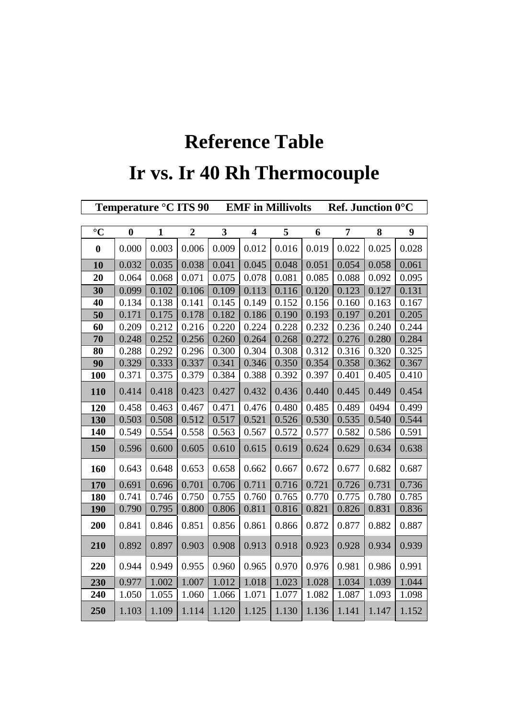## **Reference Table Ir vs. Ir 40 Rh Thermocouple**

|                  | Temperature °C ITS 90 |              |                |              | <b>EMF</b> in Millivolts |       |       |       | <b>Ref. Junction 0°C</b> |       |  |
|------------------|-----------------------|--------------|----------------|--------------|--------------------------|-------|-------|-------|--------------------------|-------|--|
|                  |                       |              |                |              |                          |       |       |       |                          |       |  |
| $\rm ^{\circ}C$  | $\boldsymbol{0}$      | $\mathbf{1}$ | $\overline{2}$ | $\mathbf{3}$ | $\overline{\mathbf{4}}$  | 5     | 6     | 7     | 8                        | 9     |  |
| $\boldsymbol{0}$ | 0.000                 | 0.003        | 0.006          | 0.009        | 0.012                    | 0.016 | 0.019 | 0.022 | 0.025                    | 0.028 |  |
| 10               | 0.032                 | 0.035        | 0.038          | 0.041        | 0.045                    | 0.048 | 0.051 | 0.054 | 0.058                    | 0.061 |  |
| 20               | 0.064                 | 0.068        | 0.071          | 0.075        | 0.078                    | 0.081 | 0.085 | 0.088 | 0.092                    | 0.095 |  |
| 30               | 0.099                 | 0.102        | 0.106          | 0.109        | 0.113                    | 0.116 | 0.120 | 0.123 | 0.127                    | 0.131 |  |
| 40               | 0.134                 | 0.138        | 0.141          | 0.145        | 0.149                    | 0.152 | 0.156 | 0.160 | 0.163                    | 0.167 |  |
| 50               | 0.171                 | 0.175        | 0.178          | 0.182        | 0.186                    | 0.190 | 0.193 | 0.197 | 0.201                    | 0.205 |  |
| 60               | 0.209                 | 0.212        | 0.216          | 0.220        | 0.224                    | 0.228 | 0.232 | 0.236 | 0.240                    | 0.244 |  |
| 70               | 0.248                 | 0.252        | 0.256          | 0.260        | 0.264                    | 0.268 | 0.272 | 0.276 | 0.280                    | 0.284 |  |
| 80               | 0.288                 | 0.292        | 0.296          | 0.300        | 0.304                    | 0.308 | 0.312 | 0.316 | 0.320                    | 0.325 |  |
| 90               | 0.329                 | 0.333        | 0.337          | 0.341        | 0.346                    | 0.350 | 0.354 | 0.358 | 0.362                    | 0.367 |  |
| 100              | 0.371                 | 0.375        | 0.379          | 0.384        | 0.388                    | 0.392 | 0.397 | 0.401 | 0.405                    | 0.410 |  |
| 110              | 0.414                 | 0.418        | 0.423          | 0.427        | 0.432                    | 0.436 | 0.440 | 0.445 | 0.449                    | 0.454 |  |
| 120              | 0.458                 | 0.463        | 0.467          | 0.471        | 0.476                    | 0.480 | 0.485 | 0.489 | 0494                     | 0.499 |  |
| 130              | 0.503                 | 0.508        | 0.512          | 0.517        | 0.521                    | 0.526 | 0.530 | 0.535 | 0.540                    | 0.544 |  |
| 140              | 0.549                 | 0.554        | 0.558          | 0.563        | 0.567                    | 0.572 | 0.577 | 0.582 | 0.586                    | 0.591 |  |
| 150              | 0.596                 | 0.600        | 0.605          | 0.610        | 0.615                    | 0.619 | 0.624 | 0.629 | 0.634                    | 0.638 |  |
| 160              | 0.643                 | 0.648        | 0.653          | 0.658        | 0.662                    | 0.667 | 0.672 | 0.677 | 0.682                    | 0.687 |  |
| 170              | 0.691                 | 0.696        | 0.701          | 0.706        | 0.711                    | 0.716 | 0.721 | 0.726 | 0.731                    | 0.736 |  |
| 180              | 0.741                 | 0.746        | 0.750          | 0.755        | 0.760                    | 0.765 | 0.770 | 0.775 | 0.780                    | 0.785 |  |
| 190              | 0.790                 | 0.795        | 0.800          | 0.806        | 0.811                    | 0.816 | 0.821 | 0.826 | 0.831                    | 0.836 |  |
| 200              | 0.841                 | 0.846        | 0.851          | 0.856        | 0.861                    | 0.866 | 0.872 | 0.877 | 0.882                    | 0.887 |  |
| 210              | 0.892                 | 0.897        | 0.903          | 0.908        | 0.913                    | 0.918 | 0.923 | 0.928 | 0.934                    | 0.939 |  |
| 220              | 0.944                 | 0.949        | 0.955          | 0.960        | 0.965                    | 0.970 | 0.976 | 0.981 | 0.986                    | 0.991 |  |
| 230              | 0.977                 | 1.002        | 1.007          | 1.012        | 1.018                    | 1.023 | 1.028 | 1.034 | 1.039                    | 1.044 |  |
| 240              | 1.050                 | 1.055        | 1.060          | 1.066        | 1.071                    | 1.077 | 1.082 | 1.087 | 1.093                    | 1.098 |  |
| 250              | 1.103                 | 1.109        | 1.114          | 1.120        | 1.125                    | 1.130 | 1.136 | 1.141 | 1.147                    | 1.152 |  |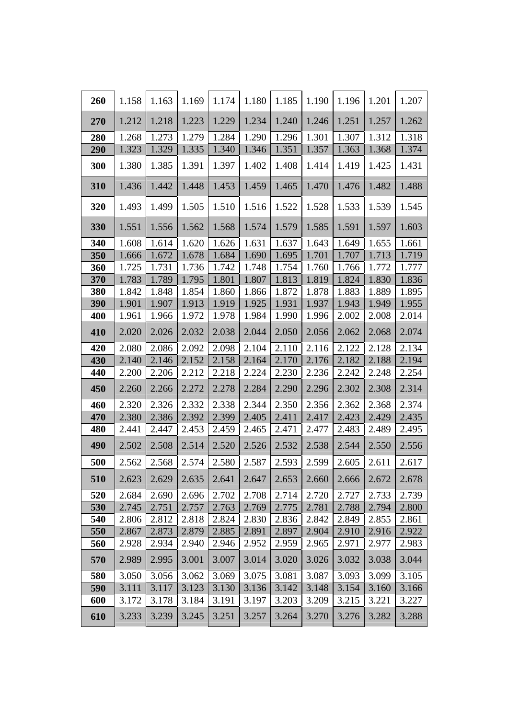| 260 | 1.158 | 1.163 | 1.169 | 1.174 | 1.180 | 1.185 | 1.190 | 1.196 | 1.201 | 1.207 |
|-----|-------|-------|-------|-------|-------|-------|-------|-------|-------|-------|
| 270 | 1.212 | 1.218 | 1.223 | 1.229 | 1.234 | 1.240 | 1.246 | 1.251 | 1.257 | 1.262 |
| 280 | 1.268 | 1.273 | 1.279 | 1.284 | 1.290 | 1.296 | 1.301 | 1.307 | 1.312 | 1.318 |
| 290 | 1.323 | 1.329 | 1.335 | 1.340 | 1.346 | 1.351 | 1.357 | 1.363 | 1.368 | 1.374 |
| 300 | 1.380 | 1.385 | 1.391 | 1.397 | 1.402 | 1.408 | 1.414 | 1.419 | 1.425 | 1.431 |
| 310 | 1.436 | 1.442 | 1.448 | 1.453 | 1.459 | 1.465 | 1.470 | 1.476 | 1.482 | 1.488 |
| 320 | 1.493 | 1.499 | 1.505 | 1.510 | 1.516 | 1.522 | 1.528 | 1.533 | 1.539 | 1.545 |
| 330 | 1.551 | 1.556 | 1.562 | 1.568 | 1.574 | 1.579 | 1.585 | 1.591 | 1.597 | 1.603 |
| 340 | 1.608 | 1.614 | 1.620 | 1.626 | 1.631 | 1.637 | 1.643 | 1.649 | 1.655 | 1.661 |
| 350 | 1.666 | 1.672 | 1.678 | 1.684 | 1.690 | 1.695 | 1.701 | 1.707 | 1.713 | 1.719 |
| 360 | 1.725 | 1.731 | 1.736 | 1.742 | 1.748 | 1.754 | 1.760 | 1.766 | 1.772 | 1.777 |
| 370 | 1.783 | 1.789 | 1.795 | 1.801 | 1.807 | 1.813 | 1.819 | 1.824 | 1.830 | 1.836 |
| 380 | 1.842 | 1.848 | 1.854 | 1.860 | 1.866 | 1.872 | 1.878 | 1.883 | 1.889 | 1.895 |
| 390 | 1.901 | 1.907 | 1.913 | 1.919 | 1.925 | 1.931 | 1.937 | 1.943 | 1.949 | 1.955 |
| 400 | 1.961 | 1.966 | 1.972 | 1.978 | 1.984 | 1.990 | 1.996 | 2.002 | 2.008 | 2.014 |
| 410 | 2.020 | 2.026 | 2.032 | 2.038 | 2.044 | 2.050 | 2.056 | 2.062 | 2.068 | 2.074 |
| 420 | 2.080 | 2.086 | 2.092 | 2.098 | 2.104 | 2.110 | 2.116 | 2.122 | 2.128 | 2.134 |
| 430 | 2.140 | 2.146 | 2.152 | 2.158 | 2.164 | 2.170 | 2.176 | 2.182 | 2.188 | 2.194 |
| 440 | 2.200 | 2.206 | 2.212 | 2.218 | 2.224 | 2.230 | 2.236 | 2.242 | 2.248 | 2.254 |
| 450 | 2.260 | 2.266 | 2.272 | 2.278 | 2.284 | 2.290 | 2.296 | 2.302 | 2.308 | 2.314 |
| 460 | 2.320 | 2.326 | 2.332 | 2.338 | 2.344 | 2.350 | 2.356 | 2.362 | 2.368 | 2.374 |
| 470 | 2.380 | 2.386 | 2.392 | 2.399 | 2.405 | 2.411 | 2.417 | 2.423 | 2.429 | 2.435 |
| 480 | 2.441 | 2.447 | 2.453 | 2.459 | 2.465 | 2.471 | 2.477 | 2.483 | 2.489 | 2.495 |
| 490 | 2.502 | 2.508 | 2.514 | 2.520 | 2.526 | 2.532 | 2.538 | 2.544 | 2.550 | 2.556 |
| 500 | 2.562 | 2.568 | 2.574 | 2.580 | 2.587 | 2.593 | 2.599 | 2.605 | 2.611 | 2.617 |
| 510 | 2.623 | 2.629 | 2.635 | 2.641 | 2.647 | 2.653 | 2.660 | 2.666 | 2.672 | 2.678 |
| 520 | 2.684 | 2.690 | 2.696 | 2.702 | 2.708 | 2.714 | 2.720 | 2.727 | 2.733 | 2.739 |
| 530 | 2.745 | 2.751 | 2.757 | 2.763 | 2.769 | 2.775 | 2.781 | 2.788 | 2.794 | 2.800 |
| 540 | 2.806 | 2.812 | 2.818 | 2.824 | 2.830 | 2.836 | 2.842 | 2.849 | 2.855 | 2.861 |
| 550 | 2.867 | 2.873 | 2.879 | 2.885 | 2.891 | 2.897 | 2.904 | 2.910 | 2.916 | 2.922 |
| 560 | 2.928 | 2.934 | 2.940 | 2.946 | 2.952 | 2.959 | 2.965 | 2.971 | 2.977 | 2.983 |
| 570 | 2.989 | 2.995 | 3.001 | 3.007 | 3.014 | 3.020 | 3.026 | 3.032 | 3.038 | 3.044 |
| 580 | 3.050 | 3.056 | 3.062 | 3.069 | 3.075 | 3.081 | 3.087 | 3.093 | 3.099 | 3.105 |
| 590 | 3.111 | 3.117 | 3.123 | 3.130 | 3.136 | 3.142 | 3.148 | 3.154 | 3.160 | 3.166 |
| 600 | 3.172 | 3.178 | 3.184 | 3.191 | 3.197 | 3.203 | 3.209 | 3.215 | 3.221 | 3.227 |
| 610 | 3.233 | 3.239 | 3.245 | 3.251 | 3.257 | 3.264 | 3.270 | 3.276 | 3.282 | 3.288 |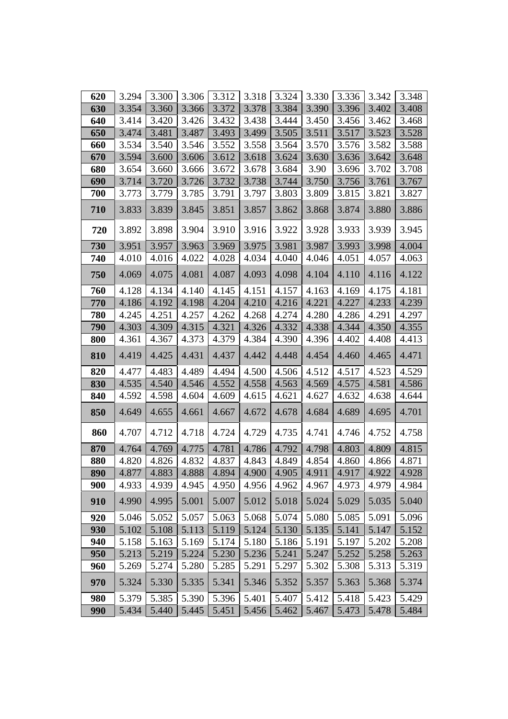| 620 | 3.294 | 3.300 | 3.306 | 3.312               | 3.318 | 3.324       | 3.330 | 3.336       | 3.342 | 3.348 |
|-----|-------|-------|-------|---------------------|-------|-------------|-------|-------------|-------|-------|
| 630 | 3.354 | 3.360 | 3.366 | 3.372               | 3.378 | 3.384       | 3.390 | 3.396       | 3.402 | 3.408 |
| 640 | 3.414 | 3.420 | 3.426 | 3.432               | 3.438 | 3.444       | 3.450 | 3.456       | 3.462 | 3.468 |
| 650 | 3.474 | 3.481 | 3.487 | 3.493               | 3.499 | 3.505       | 3.511 | 3.517       | 3.523 | 3.528 |
| 660 | 3.534 | 3.540 | 3.546 | 3.552               | 3.558 | 3.564       | 3.570 | 3.576       | 3.582 | 3.588 |
| 670 | 3.594 | 3.600 | 3.606 | 3.612               | 3.618 | 3.624       | 3.630 | 3.636       | 3.642 | 3.648 |
| 680 | 3.654 | 3.660 | 3.666 | 3.672               | 3.678 | 3.684       | 3.90  | 3.696       | 3.702 | 3.708 |
| 690 | 3.714 | 3.720 | 3.726 | 3.732               | 3.738 | 3.744       | 3.750 | 3.756       | 3.761 | 3.767 |
| 700 | 3.773 | 3.779 | 3.785 | 3.791               | 3.797 | 3.803       | 3.809 | 3.815       | 3.821 | 3.827 |
| 710 | 3.833 | 3.839 | 3.845 | 3.851               | 3.857 | 3.862       | 3.868 | 3.874       | 3.880 | 3.886 |
| 720 | 3.892 | 3.898 | 3.904 | 3.910               | 3.916 | 3.922       | 3.928 | 3.933       | 3.939 | 3.945 |
| 730 | 3.951 | 3.957 | 3.963 | 3.969               | 3.975 | 3.981       | 3.987 | 3.993       | 3.998 | 4.004 |
| 740 | 4.010 | 4.016 | 4.022 | 4.028               | 4.034 | 4.040       | 4.046 | 4.051       | 4.057 | 4.063 |
| 750 | 4.069 | 4.075 | 4.081 | 4.087               | 4.093 | 4.098       | 4.104 | 4.110       | 4.116 | 4.122 |
| 760 | 4.128 | 4.134 | 4.140 | 4.145               | 4.151 | 4.157       | 4.163 | 4.169       | 4.175 | 4.181 |
| 770 | 4.186 | 4.192 | 4.198 | 4.204               | 4.210 | 4.216       | 4.221 | 4.227       | 4.233 | 4.239 |
| 780 | 4.245 | 4.251 | 4.257 | 4.262               | 4.268 | 4.274       | 4.280 | 4.286       | 4.291 | 4.297 |
| 790 | 4.303 | 4.309 | 4.315 | 4.321               | 4.326 | 4.332       | 4.338 | 4.344       | 4.350 | 4.355 |
| 800 | 4.361 | 4.367 | 4.373 | 4.379               | 4.384 | 4.390       | 4.396 | 4.402       | 4.408 | 4.413 |
| 810 | 4.419 | 4.425 | 4.431 | 4.437               | 4.442 | 4.448       | 4.454 | 4.460       | 4.465 | 4.471 |
| 820 | 4.477 | 4.483 | 4.489 | 4.494               | 4.500 | 4.506       | 4.512 | 4.517       | 4.523 | 4.529 |
| 830 | 4.535 | 4.540 | 4.546 | 4.552               | 4.558 | 4.563       | 4.569 | 4.575       | 4.581 | 4.586 |
| 840 | 4.592 | 4.598 | 4.604 | 4.609               | 4.615 | 4.621       | 4.627 | 4.632       | 4.638 | 4.644 |
| 850 | 4.649 | 4.655 | 4.661 | 4.667               | 4.672 | 4.678       | 4.684 | 4.689       | 4.695 | 4.701 |
| 860 | 4.707 | 4.712 | 4.718 | 4.724               | 4.729 | 4.735       | 4.741 | 4.746       | 4.752 | 4.758 |
| 870 | 4.764 | 4.769 | 4.775 | 4.781               | 4.786 | 4.792       | 4.798 | 4.803       | 4.809 | 4.815 |
| 880 | 4.820 | 4.826 | 4.832 | 4.837               | 4.843 | 4.849       | 4.854 | 4.860       | 4.866 | 4.871 |
| 890 | 4.877 | 4.883 |       | $4.888$ 4.894 4.900 |       | 4.905 4.911 |       | 4.917 4.922 |       | 4.928 |
| 900 | 4.933 | 4.939 | 4.945 | 4.950               | 4.956 | 4.962       | 4.967 | 4.973       | 4.979 | 4.984 |
| 910 | 4.990 | 4.995 | 5.001 | 5.007               | 5.012 | 5.018       | 5.024 | 5.029       | 5.035 | 5.040 |
| 920 | 5.046 | 5.052 | 5.057 | 5.063               | 5.068 | 5.074       | 5.080 | 5.085       | 5.091 | 5.096 |
| 930 | 5.102 | 5.108 | 5.113 | 5.119               | 5.124 | 5.130       | 5.135 | 5.141       | 5.147 | 5.152 |
| 940 | 5.158 | 5.163 | 5.169 | 5.174               | 5.180 | 5.186       | 5.191 | 5.197       | 5.202 | 5.208 |
| 950 | 5.213 | 5.219 | 5.224 | 5.230               | 5.236 | 5.241       | 5.247 | 5.252       | 5.258 | 5.263 |
| 960 | 5.269 | 5.274 | 5.280 | 5.285               | 5.291 | 5.297       | 5.302 | 5.308       | 5.313 | 5.319 |
| 970 | 5.324 | 5.330 | 5.335 | 5.341               | 5.346 | 5.352       | 5.357 | 5.363       | 5.368 | 5.374 |
| 980 | 5.379 | 5.385 | 5.390 | 5.396               | 5.401 | 5.407       | 5.412 | 5.418       | 5.423 | 5.429 |
| 990 | 5.434 | 5.440 | 5.445 | 5.451               | 5.456 | 5.462       | 5.467 | 5.473       | 5.478 | 5.484 |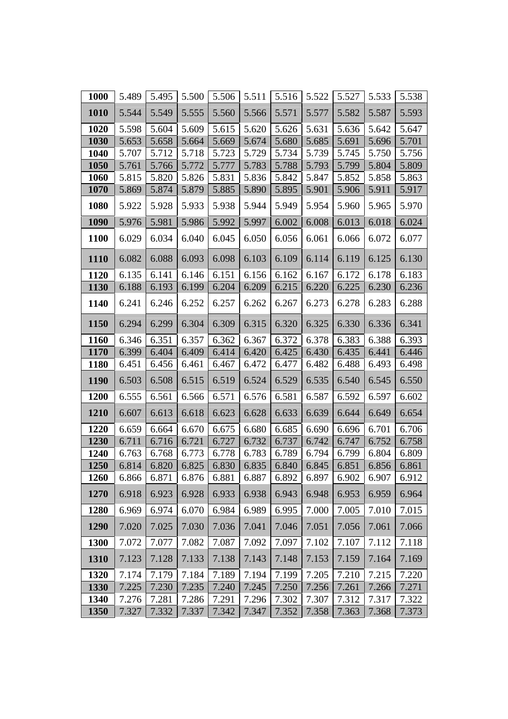| 1000        | 5.489 | 5.495 | 5.500 | 5.506 | 5.511 | 5.516 | 5.522 | 5.527 | 5.533 | 5.538 |
|-------------|-------|-------|-------|-------|-------|-------|-------|-------|-------|-------|
| 1010        | 5.544 | 5.549 | 5.555 | 5.560 | 5.566 | 5.571 | 5.577 | 5.582 | 5.587 | 5.593 |
| 1020        | 5.598 | 5.604 | 5.609 | 5.615 | 5.620 | 5.626 | 5.631 | 5.636 | 5.642 | 5.647 |
| 1030        | 5.653 | 5.658 | 5.664 | 5.669 | 5.674 | 5.680 | 5.685 | 5.691 | 5.696 | 5.701 |
| 1040        | 5.707 | 5.712 | 5.718 | 5.723 | 5.729 | 5.734 | 5.739 | 5.745 | 5.750 | 5.756 |
| 1050        | 5.761 | 5.766 | 5.772 | 5.777 | 5.783 | 5.788 | 5.793 | 5.799 | 5.804 | 5.809 |
| 1060        | 5.815 | 5.820 | 5.826 | 5.831 | 5.836 | 5.842 | 5.847 | 5.852 | 5.858 | 5.863 |
| 1070        | 5.869 | 5.874 | 5.879 | 5.885 | 5.890 | 5.895 | 5.901 | 5.906 | 5.911 | 5.917 |
| 1080        | 5.922 | 5.928 | 5.933 | 5.938 | 5.944 | 5.949 | 5.954 | 5.960 | 5.965 | 5.970 |
| 1090        | 5.976 | 5.981 | 5.986 | 5.992 | 5.997 | 6.002 | 6.008 | 6.013 | 6.018 | 6.024 |
| 1100        | 6.029 | 6.034 | 6.040 | 6.045 | 6.050 | 6.056 | 6.061 | 6.066 | 6.072 | 6.077 |
| <b>1110</b> | 6.082 | 6.088 | 6.093 | 6.098 | 6.103 | 6.109 | 6.114 | 6.119 | 6.125 | 6.130 |
| 1120        | 6.135 | 6.141 | 6.146 | 6.151 | 6.156 | 6.162 | 6.167 | 6.172 | 6.178 | 6.183 |
| 1130        | 6.188 | 6.193 | 6.199 | 6.204 | 6.209 | 6.215 | 6.220 | 6.225 | 6.230 | 6.236 |
| 1140        | 6.241 | 6.246 | 6.252 | 6.257 | 6.262 | 6.267 | 6.273 | 6.278 | 6.283 | 6.288 |
| 1150        | 6.294 | 6.299 | 6.304 | 6.309 | 6.315 | 6.320 | 6.325 | 6.330 | 6.336 | 6.341 |
| 1160        | 6.346 | 6.351 | 6.357 | 6.362 | 6.367 | 6.372 | 6.378 | 6.383 | 6.388 | 6.393 |
| 1170        | 6.399 | 6.404 | 6.409 | 6.414 | 6.420 | 6.425 | 6.430 | 6.435 | 6.441 | 6.446 |
| <b>1180</b> | 6.451 | 6.456 | 6.461 | 6.467 | 6.472 | 6.477 | 6.482 | 6.488 | 6.493 | 6.498 |
| 1190        | 6.503 | 6.508 | 6.515 | 6.519 | 6.524 | 6.529 | 6.535 | 6.540 | 6.545 | 6.550 |
| 1200        | 6.555 | 6.561 | 6.566 | 6.571 | 6.576 | 6.581 | 6.587 | 6.592 | 6.597 | 6.602 |
| 1210        | 6.607 | 6.613 | 6.618 | 6.623 | 6.628 | 6.633 | 6.639 | 6.644 | 6.649 | 6.654 |
| 1220        | 6.659 | 6.664 | 6.670 | 6.675 | 6.680 | 6.685 | 6.690 | 6.696 | 6.701 | 6.706 |
| 1230        | 6.711 | 6.716 | 6.721 | 6.727 | 6.732 | 6.737 | 6.742 | 6.747 | 6.752 | 6.758 |
| 1240        | 6.763 | 6.768 | 6.773 | 6.778 | 6.783 | 6.789 | 6.794 | 6.799 | 6.804 | 6.809 |
| 1250        | 6.814 | 6.820 | 6.825 | 6.830 | 6.835 | 6.840 | 6.845 | 6.851 | 6.856 | 6.861 |
| 1260        | 6.866 | 6.871 | 6.876 | 6.881 | 6.887 | 6.892 | 6.897 | 6.902 | 6.907 | 6.912 |
| 1270        | 6.918 | 6.923 | 6.928 | 6.933 | 6.938 | 6.943 | 6.948 | 6.953 | 6.959 | 6.964 |
| 1280        | 6.969 | 6.974 | 6.070 | 6.984 | 6.989 | 6.995 | 7.000 | 7.005 | 7.010 | 7.015 |
| 1290        | 7.020 | 7.025 | 7.030 | 7.036 | 7.041 | 7.046 | 7.051 | 7.056 | 7.061 | 7.066 |
| 1300        | 7.072 | 7.077 | 7.082 | 7.087 | 7.092 | 7.097 | 7.102 | 7.107 | 7.112 | 7.118 |
| 1310        | 7.123 | 7.128 | 7.133 | 7.138 | 7.143 | 7.148 | 7.153 | 7.159 | 7.164 | 7.169 |
| 1320        | 7.174 | 7.179 | 7.184 | 7.189 | 7.194 | 7.199 | 7.205 | 7.210 | 7.215 | 7.220 |
| 1330        | 7.225 | 7.230 | 7.235 | 7.240 | 7.245 | 7.250 | 7.256 | 7.261 | 7.266 | 7.271 |
| 1340        | 7.276 | 7.281 | 7.286 | 7.291 | 7.296 | 7.302 | 7.307 | 7.312 | 7.317 | 7.322 |
| 1350        | 7.327 | 7.332 | 7.337 | 7.342 | 7.347 | 7.352 | 7.358 | 7.363 | 7.368 | 7.373 |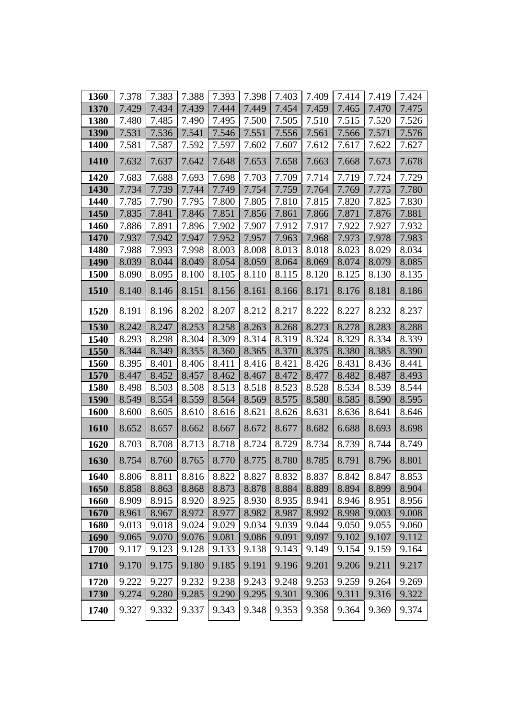| 1360        | 7.378 | 7.383 | 7.388 | 7.393 | 7.398 | 7.403 | 7.409 | 7.414 | 7.419 | 7.424 |
|-------------|-------|-------|-------|-------|-------|-------|-------|-------|-------|-------|
| 1370        | 7.429 | 7.434 | 7.439 | 7.444 | 7.449 | 7.454 | 7.459 | 7.465 | 7.470 | 7.475 |
| 1380        | 7.480 | 7.485 | 7.490 | 7.495 | 7.500 | 7.505 | 7.510 | 7.515 | 7.520 | 7.526 |
| 1390        | 7.531 | 7.536 | 7.541 | 7.546 | 7.551 | 7.556 | 7.561 | 7.566 | 7.571 | 7.576 |
| 1400        | 7.581 | 7.587 | 7.592 | 7.597 | 7.602 | 7.607 | 7.612 | 7.617 | 7.622 | 7.627 |
| 1410        | 7.632 | 7.637 | 7.642 | 7.648 | 7.653 | 7.658 | 7.663 | 7.668 | 7.673 | 7.678 |
| 1420        | 7.683 | 7.688 | 7.693 | 7.698 | 7.703 | 7.709 | 7.714 | 7.719 | 7.724 | 7.729 |
| 1430        | 7.734 | 7.739 | 7.744 | 7.749 | 7.754 | 7.759 | 7.764 | 7.769 | 7.775 | 7.780 |
| 1440        | 7.785 | 7.790 | 7.795 | 7.800 | 7.805 | 7.810 | 7.815 | 7.820 | 7.825 | 7.830 |
| 1450        | 7.835 | 7.841 | 7.846 | 7.851 | 7.856 | 7.861 | 7.866 | 7.871 | 7.876 | 7.881 |
| 1460        | 7.886 | 7.891 | 7.896 | 7.902 | 7.907 | 7.912 | 7.917 | 7.922 | 7.927 | 7.932 |
| 1470        | 7.937 | 7.942 | 7.947 | 7.952 | 7.957 | 7.963 | 7.968 | 7.973 | 7.978 | 7.983 |
| 1480        | 7.988 | 7.993 | 7.998 | 8.003 | 8.008 | 8.013 | 8.018 | 8.023 | 8.029 | 8.034 |
| 1490        | 8.039 | 8.044 | 8.049 | 8.054 | 8.059 | 8.064 | 8.069 | 8.074 | 8.079 | 8.085 |
| 1500        | 8.090 | 8.095 | 8.100 | 8.105 | 8.110 | 8.115 | 8.120 | 8.125 | 8.130 | 8.135 |
| 1510        | 8.140 | 8.146 | 8.151 | 8.156 | 8.161 | 8.166 | 8.171 | 8.176 | 8.181 | 8.186 |
| 1520        | 8.191 | 8.196 | 8.202 | 8.207 | 8.212 | 8.217 | 8.222 | 8.227 | 8.232 | 8.237 |
| 1530        | 8.242 | 8.247 | 8.253 | 8.258 | 8.263 | 8.268 | 8.273 | 8.278 | 8.283 | 8.288 |
| 1540        | 8.293 | 8.298 | 8.304 | 8.309 | 8.314 | 8.319 | 8.324 | 8.329 | 8.334 | 8.339 |
| 1550        | 8.344 | 8.349 | 8.355 | 8.360 | 8.365 | 8.370 | 8.375 | 8.380 | 8.385 | 8.390 |
| 1560        | 8.395 | 8.401 | 8.406 | 8.411 | 8.416 | 8.421 | 8.426 | 8.431 | 8.436 | 8.441 |
| 1570        | 8.447 | 8.452 | 8.457 | 8.462 | 8.467 | 8.472 | 8.477 | 8.482 | 8.487 | 8.493 |
| 1580        | 8.498 | 8.503 | 8.508 | 8.513 | 8.518 | 8.523 | 8.528 | 8.534 | 8.539 | 8.544 |
| 1590        | 8.549 | 8.554 | 8.559 | 8.564 | 8.569 | 8.575 | 8.580 | 8.585 | 8.590 | 8.595 |
| 1600        | 8.600 | 8.605 | 8.610 | 8.616 | 8.621 | 8.626 | 8.631 | 8.636 | 8.641 | 8.646 |
| <b>1610</b> | 8.652 | 8.657 | 8.662 | 8.667 | 8.672 | 8.677 | 8.682 | 6.688 | 8.693 | 8.698 |
| 1620        | 8.703 | 8.708 | 8.713 | 8.718 | 8.724 | 8.729 | 8.734 | 8.739 | 8.744 | 8.749 |
| 1630        | 8.754 | 8.760 | 8.765 | 8.770 | 8.775 | 8.780 | 8.785 | 8.791 | 8.796 | 8.801 |
| 1640        | 8.806 | 8.811 | 8.816 | 8.822 | 8.827 | 8.832 | 8.837 | 8.842 | 8.847 | 8.853 |
| 1650        | 8.858 | 8.863 | 8.868 | 8.873 | 8.878 | 8.884 | 8.889 | 8.894 | 8.899 | 8.904 |
| 1660        | 8.909 | 8.915 | 8.920 | 8.925 | 8.930 | 8.935 | 8.941 | 8.946 | 8.951 | 8.956 |
| 1670        | 8.961 | 8.967 | 8.972 | 8.977 | 8.982 | 8.987 | 8.992 | 8.998 | 9.003 | 9.008 |
| 1680        | 9.013 | 9.018 | 9.024 | 9.029 | 9.034 | 9.039 | 9.044 | 9.050 | 9.055 | 9.060 |
| 1690        | 9.065 | 9.070 | 9.076 | 9.081 | 9.086 | 9.091 | 9.097 | 9.102 | 9.107 | 9.112 |
| 1700        | 9.117 | 9.123 | 9.128 | 9.133 | 9.138 | 9.143 | 9.149 | 9.154 | 9.159 | 9.164 |
| 1710        | 9.170 | 9.175 | 9.180 | 9.185 | 9.191 | 9.196 | 9.201 | 9.206 | 9.211 | 9.217 |
| 1720        | 9.222 | 9.227 | 9.232 | 9.238 | 9.243 | 9.248 | 9.253 | 9.259 | 9.264 | 9.269 |
| 1730        | 9.274 | 9.280 | 9.285 | 9.290 | 9.295 | 9.301 | 9.306 | 9.311 | 9.316 | 9.322 |
| 1740        | 9.327 | 9.332 | 9.337 | 9.343 | 9.348 | 9.353 | 9.358 | 9.364 | 9.369 | 9.374 |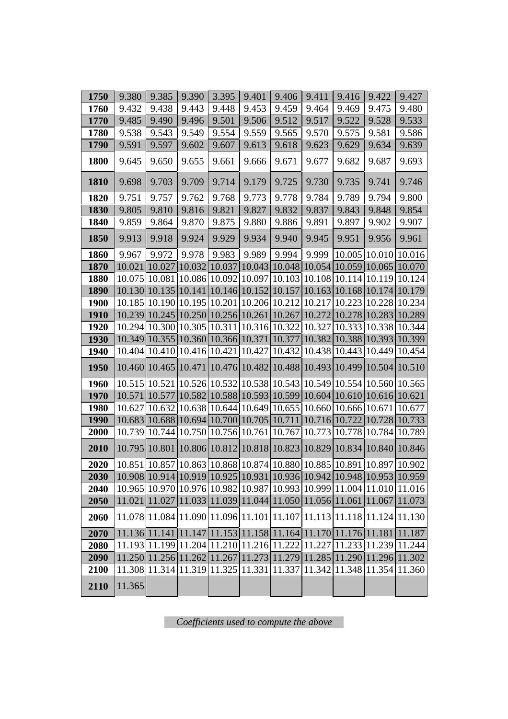| 1750         | 9.380         | 9.385                          | 9.390  | 3.395                                                                                                                                              | 9.401 | 9.406  | 9.411 | 9.416                       | 9.422 | 9.427                                                                 |
|--------------|---------------|--------------------------------|--------|----------------------------------------------------------------------------------------------------------------------------------------------------|-------|--------|-------|-----------------------------|-------|-----------------------------------------------------------------------|
| 1760         | 9.432         | 9.438                          | 9.443  | 9.448                                                                                                                                              | 9.453 | 9.459  | 9.464 | 9.469                       | 9.475 | 9.480                                                                 |
| 1770         | 9.485         | 9.490                          | 9.496  | 9.501                                                                                                                                              | 9.506 | 9.512  | 9.517 | 9.522                       | 9.528 | 9.533                                                                 |
| 1780         | 9.538         | 9.543                          | 9.549  | 9.554                                                                                                                                              | 9.559 | 9.565  | 9.570 | 9.575                       | 9.581 | 9.586                                                                 |
| 1790         | 9.591         | 9.597                          | 9.602  | 9.607                                                                                                                                              | 9.613 | 9.618  | 9.623 | 9.629                       | 9.634 | 9.639                                                                 |
| 1800         | 9.645         | 9.650                          | 9.655  | 9.661                                                                                                                                              | 9.666 | 9.671  | 9.677 | 9.682                       | 9.687 | 9.693                                                                 |
| 1810         | 9.698         | 9.703                          | 9.709  | 9.714                                                                                                                                              | 9.179 | 9.725  | 9.730 | 9.735                       | 9.741 | 9.746                                                                 |
| 1820         | 9.751         | 9.757                          | 9.762  | 9.768                                                                                                                                              | 9.773 | 9.778  | 9.784 | 9.789                       | 9.794 | 9.800                                                                 |
| 1830         | 9.805         | 9.810                          | 9.816  | 9.821                                                                                                                                              | 9.827 | 9.832  | 9.837 | 9.843                       | 9.848 | 9.854                                                                 |
| 1840         | 9.859         | 9.864                          | 9.870  | 9.875                                                                                                                                              | 9.880 | 9.886  | 9.891 | 9.897                       | 9.902 | 9.907                                                                 |
| 1850         | 9.913         | 9.918                          | 9.924  | 9.929                                                                                                                                              | 9.934 | 9.940  | 9.945 | 9.951                       | 9.956 | 9.961                                                                 |
| 1860         | 9.967         | 9.972                          | 9.978  | 9.983                                                                                                                                              | 9.989 | 9.994  | 9.999 |                             |       | 10.005 10.010 10.016                                                  |
| 1870         | 10.021        | 10.027                         |        | 10.032 10.037 10.043 10.048 10.054 10.059 10.065 10.070                                                                                            |       |        |       |                             |       |                                                                       |
| 1880         | 10.075 10.081 |                                |        | 10.086 10.092 10.097 10.103 10.108 10.114 10.119 10.124                                                                                            |       |        |       |                             |       |                                                                       |
| 1890         |               | 10.130 10.135                  |        | 10.141 10.146 10.152 10.157 10.163 10.168 10.174 10.179                                                                                            |       |        |       |                             |       |                                                                       |
| <b>1900</b>  |               |                                |        | 10.185 10.190 10.195 10.201 10.206 10.212 10.217 10.223 10.228 10.234                                                                              |       |        |       |                             |       |                                                                       |
| 1910         |               | 10.239 10.245                  |        | 10.250 10.256 10.261                                                                                                                               |       | 10.267 |       | [10.272 10.278 10.283]      |       | 10.289                                                                |
| 1920         |               |                                |        | 10.294 10.300 10.305 10.311 10.316 10.322 10.327 10.333 10.338 10.344                                                                              |       |        |       |                             |       |                                                                       |
| 1930<br>1940 |               | 10.349 10.355<br>10.404 10.410 |        | 10.360 10.366 10.371 10.377 10.382 10.388 10.393<br>10.416 10.421 10.427                                                                           |       |        |       | 10.432 10.438 10.443 10.449 |       | 10.399<br>10.454                                                      |
|              |               |                                |        |                                                                                                                                                    |       |        |       |                             |       |                                                                       |
| 1950         |               | 10.460 10.465                  | 10.471 | 10.476 10.482                                                                                                                                      |       |        |       | 10.488 10.493 10.499 10.504 |       | 10.510                                                                |
| 1960         |               |                                |        | 10.515 10.521 10.526 10.532 10.538 10.543 10.549 10.554 10.560 10.565                                                                              |       |        |       |                             |       |                                                                       |
| 1970         | 10.571        | 10.577                         |        | 10.582 10.588 10.593 10.599 10.604 10.610 10.616 10.621                                                                                            |       |        |       |                             |       |                                                                       |
| 1980         | 10.627        | 10.632                         |        | 10.638 10.644 10.649 10.655 10.660 10.666 10.671                                                                                                   |       |        |       |                             |       | 10.677                                                                |
| 1990         |               |                                |        | 10.683 10.688 10.694 10.700 10.705 10.711 10.716 10.722 10.728 10.733                                                                              |       |        |       |                             |       |                                                                       |
| 2000         | 10.739        | 10.744                         |        | 10.750 10.756 10.761 10.767 10.773 10.778 10.784 10.789                                                                                            |       |        |       |                             |       |                                                                       |
| 2010         | 10.795        | 10.801                         |        | 10.806 10.812 10.818 10.823 10.829 10.834 10.840                                                                                                   |       |        |       |                             |       | 10.846                                                                |
| 2020         |               |                                |        | 10.851   10.857   10.863   10.868   10.874   10.880   10.885   10.891   10.897   10.902                                                            |       |        |       |                             |       |                                                                       |
| 2030         |               |                                |        | $\left  10.908 \right  10.914 \left  10.919 \right  10.925 \left  10.931 \right  10.936 \left  10.942 \right  10.948 \left  10.953 \right  10.959$ |       |        |       |                             |       |                                                                       |
| 2040         |               |                                |        | 10.965 10.970 10.976 10.982 10.987 10.993 10.999 11.004 11.010 11.016                                                                              |       |        |       |                             |       |                                                                       |
| 2050         |               |                                |        |                                                                                                                                                    |       |        |       |                             |       | 11.021 11.027 11.033 11.039 11.044 11.050 11.056 11.061 11.067 11.073 |
| 2060         |               |                                |        | $11.078 11.084 11.090 11.096 11.101 11.107 11.113 11.118 11.124 11.130$                                                                            |       |        |       |                             |       |                                                                       |
| 2070         |               |                                |        | $11.136 11.141 11.147 11.153 11.158 11.164 11.170 11.176 11.181 $                                                                                  |       |        |       |                             |       | 11.187                                                                |
| 2080         |               |                                |        | 11.193 11.199 11.204 11.210 11.216 11.222 11.227 11.233 11.239 11.244                                                                              |       |        |       |                             |       |                                                                       |
| 2090         |               |                                |        |                                                                                                                                                    |       |        |       |                             |       | 11.250 11.256 11.262 11.267 11.273 11.279 11.285 11.290 11.296 11.302 |
| 2100         |               |                                |        | 11.308 11.314 11.319 11.325 11.331 11.337 11.342 11.348 11.354 11.360                                                                              |       |        |       |                             |       |                                                                       |
| 2110         | 11.365        |                                |        |                                                                                                                                                    |       |        |       |                             |       |                                                                       |

*Coefficients used to compute the above*I.